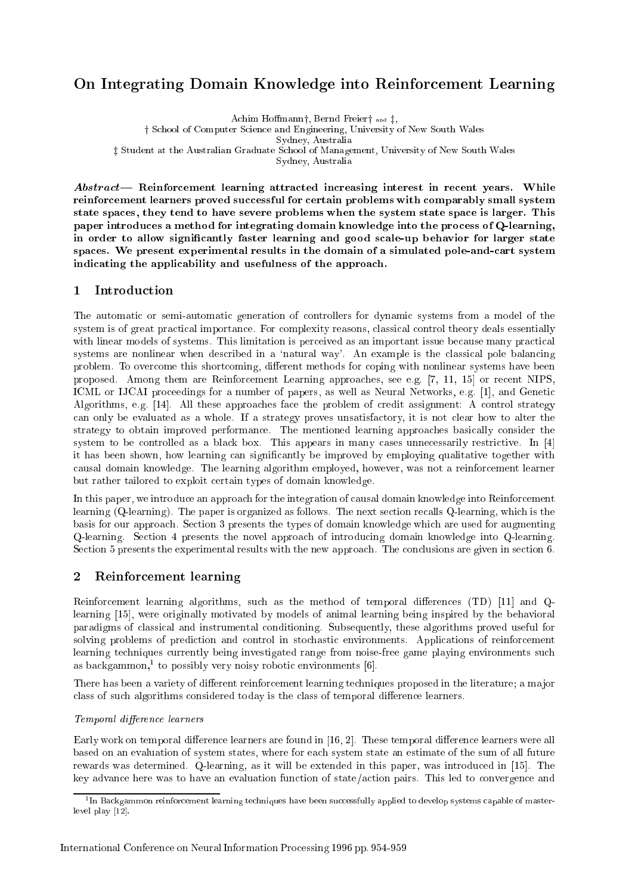# On Integrating Domain Knowledge into Reinforcement Learning

Achim Hoffmann†, Bernd Freier $\dagger$  and  $\dagger$ ,

<sup>†</sup> School of Computer Science and Engineering, University of New South Wales

Sydney, Australia

<sup>z</sup> Student at the Australian Graduate School of Management, University of New South Wales

Sydney, Australia

 $Abstract$  Reinforcement learning attracted increasing interest in recent years. While reinforcement learners proved successful for certain problems with comparably small system state spaces, they tend to have severe problems when the system state space is larger. This paper introduces a method for integrating domain knowledge into the process of Q-learning, in order to allow signicantly faster learning and good scale-up behavior for larger state spaces. We present experimental results in the domain of a simulated pole-and-cart system indicating the applicability and usefulness of the approach.

#### $\mathbf{1}$ Introduction

The automatic or semi-automatic generation of controllers for dynamic systems from a model of the system is of great practical importance. For complexity reasons, classical control theory deals essentially with linear models of systems. This limitation is perceived as an important issue because many practical systems are nonlinear when described in a 'natural way'. An example is the classical pole balancing problem. To overcome this shortcoming, different methods for coping with nonlinear systems have been proposed. Among them are Reinforcement Learning approaches, see e.g. [7, 11, 15] or recent NIPS, ICML or IJCAI proceedings for a number of papers, as well as Neural Networks, e.g. [1], and Genetic Algorithms, e.g. [14]. All these approaches face the problem of credit assignment: A control strategy can only be evaluated as a whole. If a strategy proves unsatisfactory, it is not clear how to alter the strategy to obtain improved performance. The mentioned learning approaches basically consider the system to be controlled as a black box. This appears in many cases unnecessarily restrictive. In [4] it has been shown, how learning can signicantly be improved by employing qualitative together with causal domain knowledge. The learning algorithm employed, however, was not a reinforcement learner but rather tailored to exploit certain types of domain knowledge.

In this paper, we introduce an approach for the integration of causal domain knowledge into Reinforcement learning (Q-learning). The paper is organized as follows. The next section recalls Q-learning, which is the basis for our approach. Section 3 presents the types of domain knowledge which are used for augmenting Q-learning. Section 4 presents the novel approach of introducing domain knowledge into Q-learning. Section 5 presents the experimental results with the new approach. The conclusions are given in section 6.

#### 2Reinforcement learning

Reinforcement learning algorithms, such as the method of temporal differences  $(TD)$  [11] and Qlearning [15], were originally motivated by models of animal learning being inspired by the behavioral paradigms of classical and instrumental conditioning. Subsequently, these algorithms proved useful for solving problems of prediction and control in stochastic environments. Applications of reinforcement learning techniques currently being investigated range from noise-free game playing environments such as backgammon, to possibly very noisy robotic environments [0].

There has been a variety of different reinforcement learning techniques proposed in the literature; a major class of such algorithms considered today is the class of temporal difference learners.

# Temporal difference learners

Early work on temporal difference learners are found in [16, 2]. These temporal difference learners were all based on an evaluation of system states, where for each system state an estimate of the sum of all future rewards was determined. Q-learning, as it will be extended in this paper, was introduced in [15]. The key advance here was to have an evaluation function of state/action pairs. This led to convergence and

<sup>1</sup> In Backgammon reinforcement learning techniques have been successfully applied to develop systems capable of masterlevel play [12].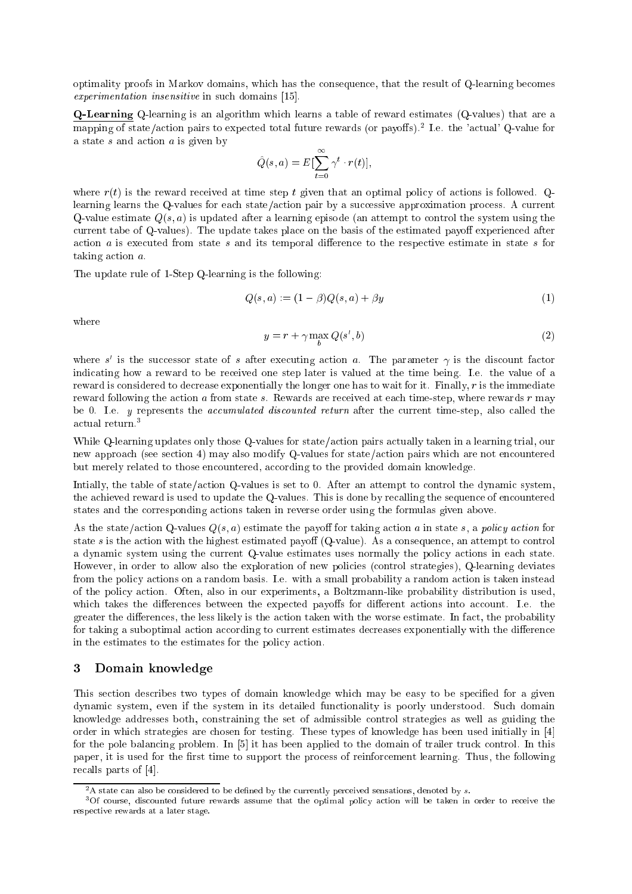optimality proofs in Markov domains, which has the consequence, that the result of Q-learning becomes experimentation insensitive in such domains [15].

Q-Learning Q-learning is an algorithm which learns a table of reward estimates (Q-values) that are a mapping of state/action pairs to expected total future rewards (or payoffs).<sup>2</sup> Le. the 'actual' Q-value for a state s and action  $a$  is given by

$$
\hat{Q}(s, a) = E[\sum_{t=0}^{\infty} \gamma^t \cdot r(t)],
$$

where  $r(t)$  is the reward received at time step t given that an optimal policy of actions is followed. Qlearning learns the Q-values for each state/action pair by a successive approximation process. A current Q-value estimate  $Q(s, a)$  is updated after a learning episode (an attempt to control the system using the current tabe of Q-values). The update takes place on the basis of the estimated payoff experienced after action  $a$  is executed from state  $s$  and its temporal difference to the respective estimate in state  $s$  for taking action a.

The update rule of 1-Step Q-learning is the following:

$$
Q(s, a) := (1 - \beta)Q(s, a) + \beta y \tag{1}
$$

where

$$
y = r + \gamma \max_{b} Q(s', b) \tag{2}
$$

where  $s$  is the successor state of  $s$  after executing action  $a$ . The parameter  $\gamma$  is the discount factor indicating how a reward to be received one step later is valued at the time being. I.e. the value of a reward is considered to decrease exponentially the longer one has to wait for it. Finally, <sup>r</sup> is the immediate reward following the action <sup>a</sup> from state s. Rewards are received at each time-step, where rewards <sup>r</sup> may be 0. I.e. <sup>y</sup> represents the accumulated discounted return after the current time-step, also called the actual return.3

 $\overline{\phantom{a}}$ 

While Q-learning updates only those Q-values for state/action pairs actually taken in a learning trial, our new approach (see section 4) may also modify Q-values for state/action pairs which are not encountered but merely related to those encountered, according to the provided domain knowledge.

Intially, the table of state/action Q-values is set to 0. After an attempt to control the dynamic system, the achieved reward is used to update the Q-values. This is done by recalling the sequence of encountered states and the corresponding actions taken in reverse order using the formulas given above.

As the state/action Q-values  $Q(s, a)$  estimate the payoff for taking action a in state s, a policy action for state  $s$  is the action with the highest estimated payoff (Q-value). As a consequence, an attempt to control a dynamic system using the current Q-value estimates uses normally the policy actions in each state. However, in order to allow also the exploration of new policies (control strategies), Q-learning deviates from the policy actions on a random basis. I.e. with a small probability a random action is taken instead of the policy action. Often, also in our experiments, a Boltzmann-like probability distribution is used, which takes the differences between the expected payoffs for different actions into account. I.e. the greater the differences, the less likely is the action taken with the worse estimate. In fact, the probability for taking a suboptimal action according to current estimates decreases exponentially with the difference in the estimates to the estimates for the policy action.

#### 3Domain knowledge

This section describes two types of domain knowledge which may be easy to be specied for a given dynamic system, even if the system in its detailed functionality is poorly understood. Such domain knowledge addresses both, constraining the set of admissible control strategies as well as guiding the order in which strategies are chosen for testing. These types of knowledge has been used initially in [4] for the pole balancing problem. In [5] it has been applied to the domain of trailer truck control. In this paper, it is used for the first time to support the process of reinforcement learning. Thus, the following recalls parts of [4].

 $2A$  state can also be considered to be defined by the currently perceived sensations, denoted by s.

<sup>&</sup>lt;sup>3</sup>Of course, discounted future rewards assume that the optimal policy action will be taken in order to receive the respective rewards at a later stage.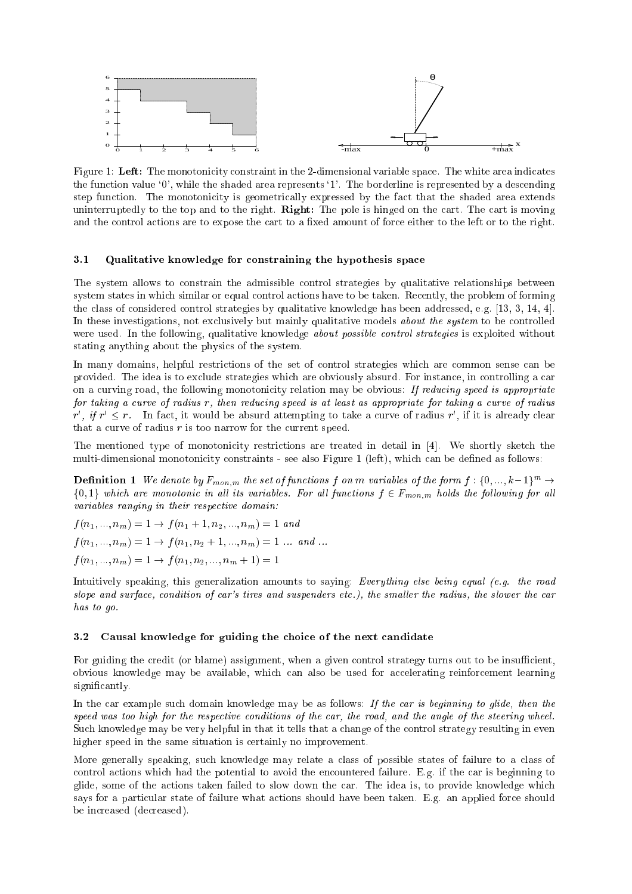

Figure 1: Left: The monotonicity constraint in the 2-dimensional variable space. The white area indicates the function value `0', while the shaded area represents `1'. The borderline is represented by a descending step function. The monotonicity is geometrically expressed by the fact that the shaded area extends uninterruptedly to the top and to the right. Right: The pole is hinged on the cart. The cart is moving and the control actions are to expose the cart to a fixed amount of force either to the left or to the right.

# 3.1 Qualitative knowledge for constraining the hypothesis space

The system allows to constrain the admissible control strategies by qualitative relationships between system states in which similar or equal control actions have to be taken. Recently, the problem of forming the class of considered control strategies by qualitative knowledge has been addressed, e.g. [13, 3, 14, 4]. In these investigations, not exclusively but mainly qualitative models *about the system* to be controlled were used. In the following, qualitative knowledge *about possible control strategies* is exploited without stating anything about the physics of the system.

In many domains, helpful restrictions of the set of control strategies which are common sense can be provided. The idea is to exclude strategies which are obviously absurd. For instance, in controlling a car on a curving road, the following monotonicity relation may be obvious: If reducing speed is appropriate for taking a curve of radius r, then reducing speed is at least as appropriate for taking a curve of radius  $r$  ,  $\eta$   $r$   $\sim$   $r$   $\cdot$  in fact, it would be absurd attempting to take a curve of radius  $r$  , if it is already clear that a curve of radius  $r$  is too narrow for the current speed.

The mentioned type of monotonicity restrictions are treated in detail in [4]. We shortly sketch the multi-dimensional monotonicity constraints - see also Figure 1 (left), which can be dened as follows:

**Definition 1** We denote by  $F_{mon,m}$  the set of functions f on m variables of the form  $f : \{0, ..., k-1\}^m \to$  $\{0,1\}$  which are monotonic in all its variables. For all functions  $f \in F_{mon,m}$  holds the following for all variables ranging in their respective domain:

 $f(n_1, ..., n_m) = 1 \rightarrow f(n_1 + 1, n_2, ..., n_m) = 1$  and  $f(n_1, ..., n_m) = 1 \rightarrow f(n_1, n_2 + 1, ..., n_m) = 1 ...$  and ...  $f(n_1, ..., n_m) = 1 \rightarrow f(n_1, n_2, ..., n_m + 1) = 1$ 

Intuitively speaking, this generalization amounts to saying: Everything else being equal (e.g. the road slope and surface, condition of car's tires and suspenders etc.), the smaller the radius, the slower the car has to go.

# 3.2 Causal knowledge for guiding the choice of the next candidate

For guiding the credit (or blame) assignment, when a given control strategy turns out to be insufficient, obvious knowledge may be available, which can also be used for accelerating reinforcement learning significantly.

In the car example such domain knowledge may be as follows: If the car is beginning to glide, then the speed was too high for the respective conditions of the car, the road, and the angle of the steering wheel. Such knowledge may be very helpful in that it tells that a change of the control strategy resulting in even higher speed in the same situation is certainly no improvement.

More generally speaking, such knowledge may relate a class of possible states of failure to a class of control actions which had the potential to avoid the encountered failure. E.g. if the car is beginning to glide, some of the actions taken failed to slow down the car. The idea is, to provide knowledge which says for a particular state of failure what actions should have been taken. E.g. an applied force should be increased (decreased).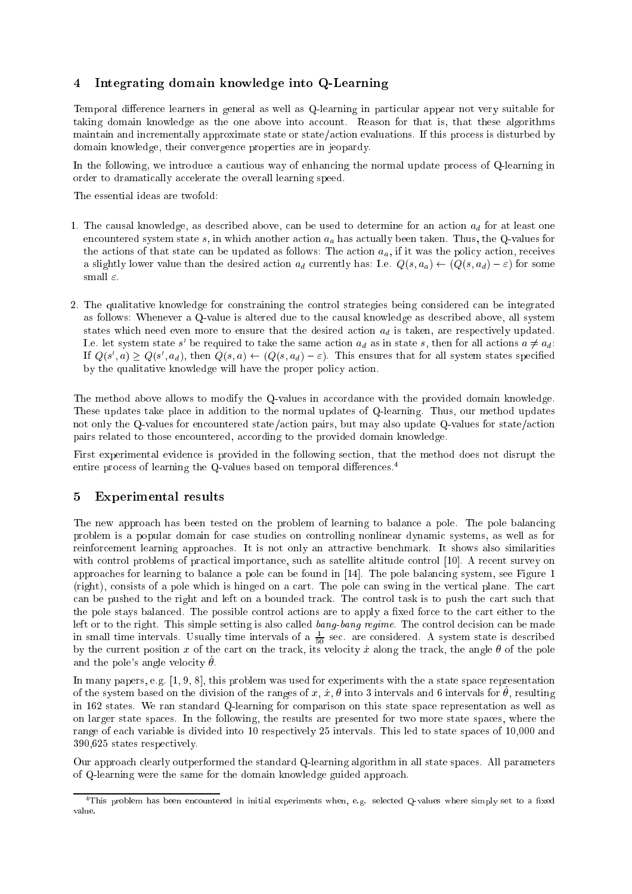### 4Integrating domain knowledge into Q-Learning

Temporal difference learners in general as well as Q-learning in particular appear not very suitable for taking domain knowledge as the one above into account. Reason for that is, that these algorithms maintain and incrementally approximate state or state/action evaluations. If this process is disturbed by domain knowledge, their convergence properties are in jeopardy.

In the following, we introduce a cautious way of enhancing the normal update process of Q-learning in order to dramatically accelerate the overall learning speed.

The essential ideas are twofold:

- 1. The causal knowledge, as described above, can be used to determine for an action  $a_d$  for at least one encountered system state s, in which another action  $a_a$  has actually been taken. Thus, the Q-values for the actions of that state can be updated as follows: The action  $a_a$ , if it was the policy action, receives a slightly lower value than the desired action  $a_d$  currently has: I.e.  $Q(s, a_d) \leftarrow (Q(s, a_d) - \varepsilon)$  for some small  $\varepsilon$ .
- 2. The qualitative knowledge for constraining the control strategies being considered can be integrated as follows: Whenever a Q-value is altered due to the causal knowledge as described above, all system states which need even more to ensure that the desired action  $a_d$  is taken, are respectively updated. Le. Tet system state  $s$  be required to take the same action  $a_d$  as in state  $s$ , then for all actions  $a \neq a_d$ : If  $Q(s, a) \geq Q(s, a_d)$ , then  $Q(s, a) \leftarrow (Q(s, a_d) - \varepsilon)$ . This ensures that for all system states specified by the qualitative knowledge will have the proper policy action.

The method above allows to modify the Q-values in accordance with the provided domain knowledge. These updates take place in addition to the normal updates of Q-learning. Thus, our method updates not only the Q-values for encountered state/action pairs, but may also update Q-values for state/action pairs related to those encountered, according to the provided domain knowledge.

First experimental evidence is provided in the following section, that the method does not disrupt the entire process of learning the Q-values based on temporal differences.<sup>4</sup>

# Experimental results

The new approach has been tested on the problem of learning to balance a pole. The pole balancing problem is a popular domain for case studies on controlling nonlinear dynamic systems, as well as for reinforcement learning approaches. It is not only an attractive benchmark. It shows also similarities with control problems of practical importance, such as satellite altitude control [10]. A recent survey on approaches for learning to balance a pole can be found in [14]. The pole balancing system, see Figure 1 (right), consists of a pole which is hinged on a cart. The pole can swing in the vertical plane. The cart can be pushed to the right and left on a bounded track. The control task is to push the cart such that the pole stays balanced. The possible control actions are to apply a fixed force to the cart either to the left or to the right. This simple setting is also called bang-bang regime. The control decision can be made in small time intervals. Usually time intervals of a  $\frac{1}{50}$  sec. are considered. A system state is described by the current position x of the cart on the track, its velocity x along the track, the angle  $\theta$  of the pole and the pole's angle velocity  $\theta$ .

In many papers, e.g. [1, 9, 8], this problem was used for experiments with the a state space representation of the system based on the division of the ranges of  $x, x, v$  into 3 intervals and 0 intervals for  $v,$  resulting in 162 states. We ran standard Q-learning for comparison on this state space representation as well as on larger state spaces. In the following, the results are presented for two more state spaces, where the range of each variable is divided into 10 respectively 25 intervals. This led to state spaces of 10,000 and 390,625 states respectively.

Our approach clearly outperformed the standard Q-learning algorithm in all state spaces. All parameters of Q-learning were the same for the domain knowledge guided approach.

 $4$ This problem has been encountered in initial experiments when, e.g. selected Q-values where simply set to a fixed value.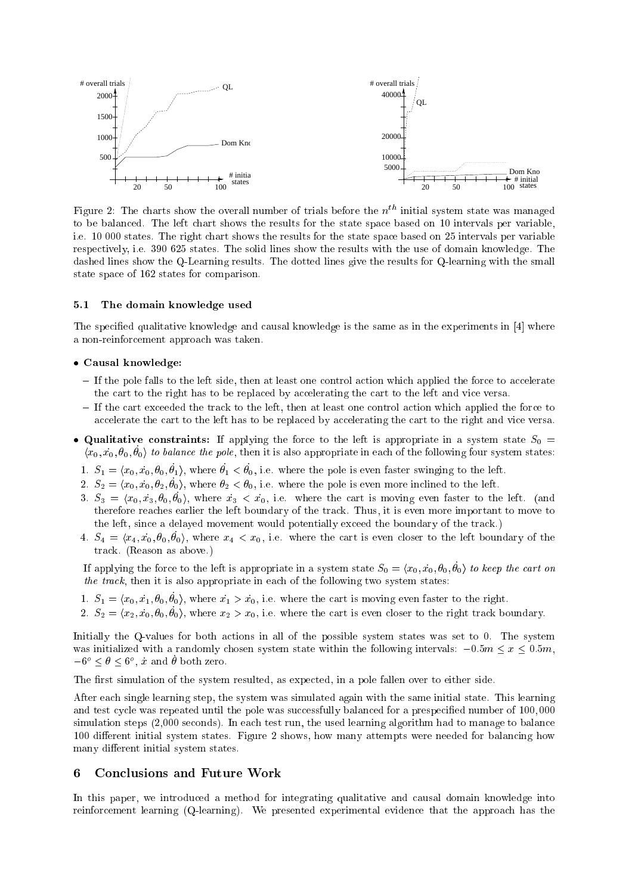

Figure 2: The charts show the overall number of trials before the  $n<sup>th</sup>$  initial system state was managed to be balanced. The left chart shows the results for the state space based on 10 intervals per variable, i.e. 10 000 states. The right chart shows the results for the state space based on 25 intervals per variable respectively, i.e. 390 625 states. The solid lines show the results with the use of domain knowledge. The dashed lines show the Q-Learning results. The dotted lines give the results for Q-learning with the small state space of 162 states for comparison.

# 5.1 The domain knowledge used

The specied qualitative knowledge and causal knowledge is the same as in the experiments in [4] where a non-reinforcement approach was taken.

## Causal knowledge:

- ${ }-$  If the pole falls to the left side, then at least one control action which applied the force to accelerate the cart to the right has to be replaced by accelerating the cart to the left and vice versa.
- ${ }-$  If the cart exceeded the track to the left, then at least one control action which applied the force to accelerate the cart to the left has to be replaced by accelerating the cart to the right and vice versa.
- Qualitative constraints: If applying the force to the left is appropriate in <sup>a</sup> system state S0 <sup>=</sup>  $\{x_0, x_0, v_0, v_0\}$  to valuate the pole, then it is also appropriate in each of the following four system states.
	- 1.  $\omega_1 = \langle x_0, x_0, v_0, v_1 \rangle$ , where  $v_1 \leq v_0$ , i.e. where the pole is even faster swinging to the fert.
	- $\omega_2 = \omega_0, \omega_0, \nu_2, \nu_0, \text{ where } \nu_2 < \nu_0, \text{ i.e. where } \nu_0 \in \mathbb{R}$  be pole is even more inclined to the left.
	- $3. \omega_3 = \omega_0, \omega_3, \omega_0, \omega_0$ , where  $\omega_3 \times \omega_0$ , i.e. where the cart is moving even faster to the left. (and therefore reaches earlier the left boundary of the track. Thus, it is even more important to move to the left, since a delayed movement would potentially exceed the boundary of the track.)
	- $\mu_4 = \mu_4, \mu_0, \nu_0, \nu_0, \mathbf{v}$ , where  $\mu_4 \leq \mu_0$ , i.e. where the cart is even closer to the left boundary of the track. (Reason as above.)

If applying the force to the felt is appropriate in a system state  $\omega_0 = \langle x_0, x_0, v_0, v_0 \rangle$  to keep the cart on the track, then it is also appropriate in each of the following two system states:

- $1. \quad \mathcal{O}_1 = \langle x_0, x_1, v_0, v_0 \rangle$ , where  $x_1 > x_0$ , i.e. where the cart is moving even raster to the right.
- 2.  $\omega_2 = \langle x_2, x_0, v_0, v_0 \rangle$ , where  $x_2 \geq x_0$ , i.e. where the cart is even closer to the right track boundary.

Initially the Q-values for both actions in all of the possible system states was set to 0. The system was initialized with a randomly chosen system state within the following intervals:  $-0.5m \le x \le 0.5m$ ,  $-0^\circ \leq \sigma \leq 0^\circ$ , x and  $\sigma$  both zero.

The first simulation of the system resulted, as expected, in a pole fallen over to either side.

After each single learning step, the system was simulated again with the same initial state. This learning and test cycle was repeated until the pole was successfully balanced for a prespecied number of 100; 000 simulation steps (2,000 seconds). In each test run, the used learning algorithm had to manage to balance 100 different initial system states. Figure 2 shows, how many attempts were needed for balancing how many different initial system states.

#### 6 Conclusions and Future Work

In this paper, we introduced a method for integrating qualitative and causal domain knowledge into reinforcement learning (Q-learning). We presented experimental evidence that the approach has the